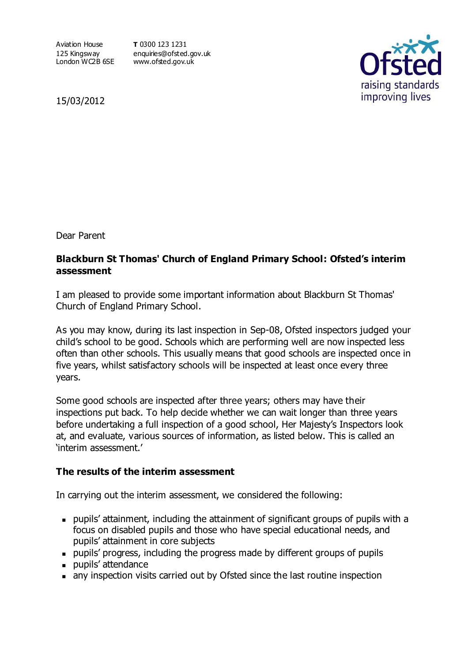Aviation House 125 Kingsway London WC2B 6SE www.ofsted.gov.uk

**T** 0300 123 1231 enquiries@ofsted.gov.uk



15/03/2012

Dear Parent

## **Blackburn St Thomas' Church of England Primary School: Ofsted's interim**  assessment

I am pleased to provide some important information about Blackburn St Thomas' Church of England Primary School.

As you may know, during its last inspection in Sep-08, Ofsted inspectors judged your child's school to be good. Schools which are performing well are now inspected less often than other schools. This usually means that good schools are inspected once in five years, whilst satisfactory schools will be inspected at least once every three years.

Some good schools are inspected after three years; others may have their inspections put back. To help decide whether we can wait longer than three years before undertaking a full inspection of a good school, Her Majesty's Inspectors look at, and evaluate, various sources of information, as listed below. This is called an 'interim assessment.'

## **The results of the interim assessment**

In carrying out the interim assessment, we considered the following:

- pupils' attainment, including the attainment of significant groups of pupils with a focus on disabled pupils and those who have special educational needs, and pupils' attainment in core subjects
- pupils' progress, including the progress made by different groups of pupils
- **pupils'** attendance
- any inspection visits carried out by Ofsted since the last routine inspection